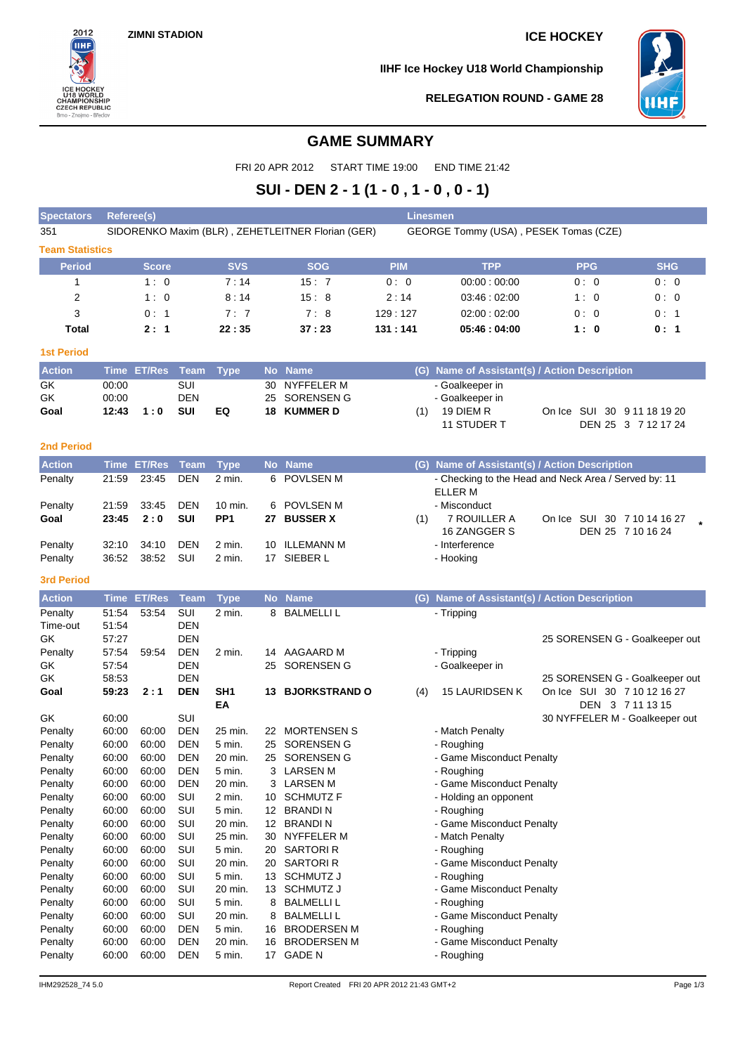# **ZIMNI STADION ICE HOCKEY**



**IIHF Ice Hockey U18 World Championship**



#### **RELEGATION ROUND - GAME 28**

## **GAME SUMMARY**

FRI 20 APR 2012 START TIME 19:00 END TIME 21:42

# **SUI - DEN 2 - 1 (1 - 0 , 1 - 0 , 0 - 1)**

| <b>Spectators</b>      | Linesmen<br>Referee(s) |                                                                                            |                          |                   |           |                              |            |                                                      |  |                                                               |  |
|------------------------|------------------------|--------------------------------------------------------------------------------------------|--------------------------|-------------------|-----------|------------------------------|------------|------------------------------------------------------|--|---------------------------------------------------------------|--|
| 351                    |                        | SIDORENKO Maxim (BLR), ZEHETLEITNER Florian (GER)<br>GEORGE Tommy (USA), PESEK Tomas (CZE) |                          |                   |           |                              |            |                                                      |  |                                                               |  |
| <b>Team Statistics</b> |                        |                                                                                            |                          |                   |           |                              |            |                                                      |  |                                                               |  |
| <b>Period</b>          |                        | <b>Score</b>                                                                               |                          | <b>SVS</b>        |           | <b>SOG</b>                   | <b>PIM</b> | <b>TPP</b>                                           |  | <b>SHG</b><br><b>PPG</b>                                      |  |
| 1                      |                        | 1:0                                                                                        |                          | 7:14              |           | 15:7                         | 0:0        | 00:00:00:00                                          |  | 0:0<br>0:0                                                    |  |
| $\overline{2}$         |                        | 1:0                                                                                        |                          | 8:14              |           | 15:8                         | 2:14       | 03:46:02:00                                          |  | 0:0<br>1: 0                                                   |  |
| 3                      |                        | 0:1                                                                                        |                          | 7:7               |           | 7:8                          | 129:127    | 02:00:02:00                                          |  | 0:0<br>0: 1                                                   |  |
| Total                  |                        | 2:1                                                                                        |                          | 22:35             |           | 37:23                        | 131:141    | 05:46:04:00                                          |  | 1:0<br>0:1                                                    |  |
|                        |                        |                                                                                            |                          |                   |           |                              |            |                                                      |  |                                                               |  |
| <b>1st Period</b>      |                        |                                                                                            |                          |                   |           |                              |            |                                                      |  |                                                               |  |
| <b>Action</b>          |                        | <b>Time ET/Res</b>                                                                         | <b>Team</b>              | <b>Type</b>       |           | No Name                      |            | (G) Name of Assistant(s) / Action Description        |  |                                                               |  |
| GK                     | 00:00                  |                                                                                            | <b>SUI</b>               |                   | 30        | NYFFELER M                   |            | - Goalkeeper in                                      |  |                                                               |  |
| GK                     | 00:00                  |                                                                                            | <b>DEN</b>               |                   | 25        | SORENSEN G                   |            | - Goalkeeper in                                      |  |                                                               |  |
| Goal                   | 12:43                  | 1:0                                                                                        | <b>SUI</b>               | EQ                | 18        | <b>KUMMER D</b>              | (1)        | 19 DIEM R                                            |  | On Ice SUI 30 9 11 18 19 20                                   |  |
|                        |                        |                                                                                            |                          |                   |           |                              |            | 11 STUDER T                                          |  | DEN 25 3 7 12 17 24                                           |  |
| <b>2nd Period</b>      |                        |                                                                                            |                          |                   |           |                              |            |                                                      |  |                                                               |  |
| <b>Action</b>          | <b>Time</b>            | <b>ET/Res</b>                                                                              | <b>Team</b>              | <b>Type</b>       | <b>No</b> | <b>Name</b>                  | (G)        | Name of Assistant(s) / Action Description            |  |                                                               |  |
| Penalty                | 21:59                  | 23:45                                                                                      | <b>DEN</b>               | 2 min.            | 6         | <b>POVLSEN M</b>             |            | - Checking to the Head and Neck Area / Served by: 11 |  |                                                               |  |
|                        |                        |                                                                                            |                          |                   |           |                              |            | ELLER M                                              |  |                                                               |  |
| Penalty                | 21:59                  | 33:45                                                                                      | <b>DEN</b>               | $10$ min.         |           | 6 POVLSEN M                  |            | - Misconduct                                         |  |                                                               |  |
| Goal                   | 23:45                  | 2:0                                                                                        | <b>SUI</b>               | PP <sub>1</sub>   |           | 27 BUSSER X                  | (1)        | 7 ROUILLER A                                         |  | On Ice SUI 30 7 10 14 16 27                                   |  |
|                        |                        |                                                                                            |                          |                   |           |                              |            | 16 ZANGGER S                                         |  | DEN 25 7 10 16 24                                             |  |
| Penalty                | 32:10                  | 34:10                                                                                      | <b>DEN</b>               | 2 min.            |           | 10 ILLEMANN M                |            | - Interference                                       |  |                                                               |  |
| Penalty                | 36:52                  | 38:52                                                                                      | SUI                      | 2 min.            |           | 17 SIEBER L                  |            | - Hooking                                            |  |                                                               |  |
| <b>3rd Period</b>      |                        |                                                                                            |                          |                   |           |                              |            |                                                      |  |                                                               |  |
| <b>Action</b>          |                        | <b>Time ET/Res</b>                                                                         | <b>Team</b>              | <b>Type</b>       |           | No Name                      |            | (G) Name of Assistant(s) / Action Description        |  |                                                               |  |
| Penalty                | 51:54                  | 53:54                                                                                      | SUI                      | 2 min.            |           | 8 BALMELLI L                 |            | - Tripping                                           |  |                                                               |  |
| Time-out               | 51:54                  |                                                                                            | <b>DEN</b>               |                   |           |                              |            |                                                      |  |                                                               |  |
| GK                     | 57:27                  |                                                                                            | <b>DEN</b>               |                   |           |                              |            |                                                      |  | 25 SORENSEN G - Goalkeeper out                                |  |
| Penalty                | 57:54                  | 59.54                                                                                      | <b>DEN</b>               | 2 min.            |           | 14 AAGAARD M                 |            | - Tripping                                           |  |                                                               |  |
| GK                     | 57:54                  |                                                                                            | <b>DEN</b>               |                   |           | 25 SORENSEN G                |            | - Goalkeeper in                                      |  |                                                               |  |
| GK<br>Goal             | 58:53<br>59:23         | 2:1                                                                                        | <b>DEN</b><br><b>DEN</b> | SH <sub>1</sub>   |           | <b>13 BJORKSTRAND O</b>      |            |                                                      |  | 25 SORENSEN G - Goalkeeper out<br>On Ice SUI 30 7 10 12 16 27 |  |
|                        |                        |                                                                                            |                          | EA                |           |                              | (4)        | 15 LAURIDSEN K                                       |  | DEN 3 7 11 13 15                                              |  |
| GK                     | 60:00                  |                                                                                            | SUI                      |                   |           |                              |            |                                                      |  | 30 NYFFELER M - Goalkeeper out                                |  |
| Penalty                | 60:00                  | 60:00                                                                                      | <b>DEN</b>               | 25 min.           |           | 22 MORTENSEN S               |            | - Match Penalty                                      |  |                                                               |  |
| Penalty                | 60:00                  | 60:00                                                                                      | <b>DEN</b>               | 5 min.            | 25        | SORENSEN G                   |            | - Roughing                                           |  |                                                               |  |
| Penalty                | 60:00                  | 60:00                                                                                      | <b>DEN</b>               | 20 min.           |           | 25 SORENSEN G                |            | - Game Misconduct Penalty                            |  |                                                               |  |
| Penalty                | 60:00                  | 60:00                                                                                      | DEN                      | 5 min.            |           | 3 LARSEN M                   |            | - Roughing                                           |  |                                                               |  |
| Penalty                | 60:00                  | 60:00                                                                                      | <b>DEN</b>               | 20 min.           |           | 3 LARSEN M                   |            | - Game Misconduct Penalty                            |  |                                                               |  |
| Penalty                | 60:00                  | 60:00                                                                                      | SUI                      | 2 min.            |           | 10 SCHMUTZ F                 |            | - Holding an opponent                                |  |                                                               |  |
| Penalty                | 60:00                  | 60:00                                                                                      | SUI                      | 5 min.            |           | 12 BRANDIN                   |            | - Roughing                                           |  |                                                               |  |
| Penalty                | 60:00                  | 60:00                                                                                      | SUI                      | 20 min.           |           | 12 BRANDIN                   |            | - Game Misconduct Penalty                            |  |                                                               |  |
| Penalty                | 60:00                  | 60:00                                                                                      | SUI<br>SUI               | 25 min.           |           | 30 NYFFELER M                |            | - Match Penalty                                      |  |                                                               |  |
| Penalty<br>Penalty     | 60:00<br>60:00         | 60:00<br>60:00                                                                             | SUI                      | 5 min.<br>20 min. |           | 20 SARTORI R<br>20 SARTORI R |            | - Roughing<br>- Game Misconduct Penalty              |  |                                                               |  |
| Penalty                | 60:00                  | 60:00                                                                                      | SUI                      | 5 min.            |           | 13 SCHMUTZ J                 |            | - Roughing                                           |  |                                                               |  |
| Penalty                | 60:00                  | 60:00                                                                                      | SUI                      | 20 min.           |           | 13 SCHMUTZ J                 |            | - Game Misconduct Penalty                            |  |                                                               |  |
| Penalty                | 60:00                  | 60:00                                                                                      | SUI                      | 5 min.            | 8         | <b>BALMELLI L</b>            |            | - Roughing                                           |  |                                                               |  |
| Penalty                | 60:00                  | 60:00                                                                                      | SUI                      | 20 min.           | 8         | <b>BALMELLI L</b>            |            | - Game Misconduct Penalty                            |  |                                                               |  |
| Penalty                | 60:00                  | 60:00                                                                                      | DEN                      | 5 min.            |           | 16 BRODERSEN M               |            | - Roughing                                           |  |                                                               |  |
| Penalty                | 60:00                  | 60:00                                                                                      | DEN                      | 20 min.           |           | 16 BRODERSEN M               |            | - Game Misconduct Penalty                            |  |                                                               |  |
| Penalty                |                        | 60:00                                                                                      | DEN                      |                   |           | 17 GADE N                    |            | - Roughing                                           |  |                                                               |  |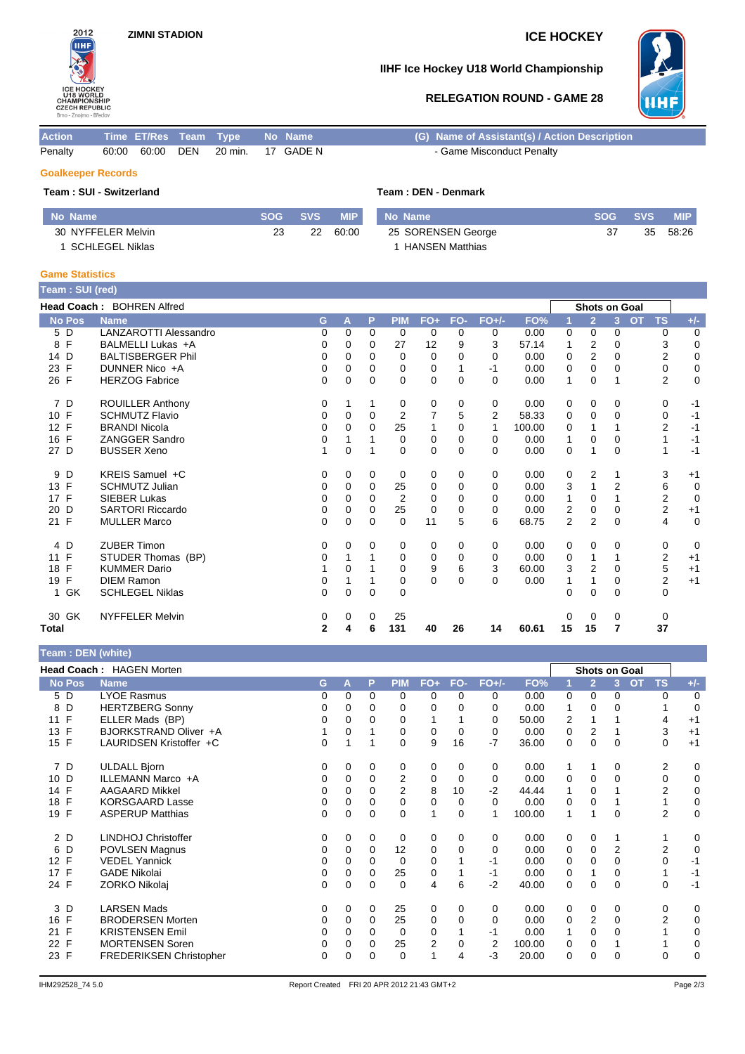

## **IIHF Ice Hockey U18 World Championship**



## **RELEGATION ROUND - GAME 28**

| <b>Action</b>             |  |             |     | Time ET/Res Team Type |    | No Name | (G) Name of Assistant(s) / Action Description |  |  |  |  |  |
|---------------------------|--|-------------|-----|-----------------------|----|---------|-----------------------------------------------|--|--|--|--|--|
| Penalty                   |  | 60:00 60:00 | DEN | 20 min.               | 17 | GADE N  | - Game Misconduct Penalty                     |  |  |  |  |  |
| <b>Goalkeeper Records</b> |  |             |     |                       |    |         |                                               |  |  |  |  |  |
| Team: SUI - Switzerland   |  |             |     |                       |    |         | Team: DEN - Denmark                           |  |  |  |  |  |

| No Name            | <b>SOG</b> | <b>SVS</b> | <b>MIP</b> | No Name                | <b>SOG</b> | <b>SVS</b> | MIP.  |
|--------------------|------------|------------|------------|------------------------|------------|------------|-------|
| 30 NYFFELER Melvin | 23         | 22         | 60:00      | 25 SORENSEN George     |            | 35         | 58:26 |
| SCHLEGEL Niklas    |            |            |            | <b>HANSEN Matthias</b> |            |            |       |

### **Game Statistics**

| Team: SUI (red)    |                                  |              |             |             |            |                |          |                |        |                |                      |                |           |                |                |
|--------------------|----------------------------------|--------------|-------------|-------------|------------|----------------|----------|----------------|--------|----------------|----------------------|----------------|-----------|----------------|----------------|
|                    | <b>Head Coach: BOHREN Alfred</b> |              |             |             |            |                |          |                |        |                | <b>Shots on Goal</b> |                |           |                |                |
| <b>No Pos</b>      | <b>Name</b>                      | G            | A           | P           | <b>PIM</b> | $FO+$          | FO-      | $FO+/-$        | FO%    | 1              | $\overline{2}$       | $\overline{3}$ | <b>OT</b> | <b>TS</b>      | $+/-$          |
| 5 D                | <b>LANZAROTTI Alessandro</b>     | 0            | $\Omega$    | $\Omega$    | 0          | 0              | $\Omega$ | 0              | 0.00   | 0              | 0                    | 0              |           | 0              | 0              |
| F<br>8             | BALMELLI Lukas +A                | 0            | 0           | $\Omega$    | 27         | 12             | 9        | 3              | 57.14  | 1              | $\overline{2}$       | 0              |           | 3              | 0              |
| 14 D               | <b>BALTISBERGER Phil</b>         | $\Omega$     | 0           | 0           | $\Omega$   | $\Omega$       | $\Omega$ | $\Omega$       | 0.00   | $\Omega$       | $\overline{2}$       | 0              |           | $\overline{2}$ | $\mathbf 0$    |
| F<br>23            | DUNNER Nico +A                   | 0            | $\Omega$    | 0           | 0          | 0              |          | -1             | 0.00   | 0              | $\Omega$             | 0              |           | $\mathbf 0$    | $\mathbf 0$    |
| 26 F               | <b>HERZOG Fabrice</b>            | 0            | $\Omega$    | 0           | $\Omega$   | $\mathbf 0$    | $\Omega$ | $\Omega$       | 0.00   | 1              | $\Omega$             |                |           | $\overline{2}$ | $\mathbf 0$    |
| 7 D                | <b>ROUILLER Anthony</b>          | 0            |             |             | 0          | 0              | $\Omega$ | 0              | 0.00   | 0              | 0                    | 0              |           | 0              | $-1$           |
| 10 F               | <b>SCHMUTZ Flavio</b>            | 0            | 0           | $\Omega$    | 2          | $\overline{7}$ | 5        | $\overline{2}$ | 58.33  | 0              | $\mathbf 0$          | $\Omega$       |           | 0              | $-1$           |
| 12 F               | <b>BRANDI Nicola</b>             | 0            | 0           | $\Omega$    | 25         | 1              | $\Omega$ | 1              | 100.00 | $\Omega$       | 1                    |                |           | $\overline{2}$ | $-1$           |
| $\mathsf{F}$<br>16 | ZANGGER Sandro                   | 0            | 1           |             | $\Omega$   | 0              | $\Omega$ | 0              | 0.00   | 1              | $\Omega$             | 0              |           |                | $-1$           |
| 27 D               | <b>BUSSER Xeno</b>               |              | $\mathbf 0$ |             | 0          | $\mathbf 0$    | $\Omega$ | $\Omega$       | 0.00   | $\mathbf 0$    | 1                    | 0              |           | 1              | $-1$           |
| 9<br>D             | KREIS Samuel +C                  | 0            | 0           | 0           | 0          | 0              | 0        | 0              | 0.00   | 0              | 2                    |                |           | 3              | $+1$           |
| 13 F               | <b>SCHMUTZ Julian</b>            | 0            | 0           | 0           | 25         | 0              | $\Omega$ | 0              | 0.00   | 3              | 1                    | $\overline{2}$ |           | 6              | $\mathbf 0$    |
| 17 F               | <b>SIEBER Lukas</b>              | 0            | 0           | 0           | 2          | 0              | 0        | 0              | 0.00   |                | $\Omega$             |                |           | $\overline{c}$ | $\overline{0}$ |
| D<br>20            | <b>SARTORI Riccardo</b>          | 0            | $\Omega$    | 0           | 25         | 0              | $\Omega$ | 0              | 0.00   | 2              | 0                    | 0              |           | $\overline{2}$ | $+1$           |
| 21 F               | <b>MULLER Marco</b>              | 0            | $\mathbf 0$ | 0           | $\Omega$   | 11             | 5        | 6              | 68.75  | $\overline{2}$ | $\overline{2}$       | $\Omega$       |           | 4              | $\mathbf 0$    |
| 4 D                | <b>ZUBER Timon</b>               | 0            | 0           | 0           | 0          | 0              | 0        | 0              | 0.00   | 0              | 0                    | 0              |           | 0              | $\mathbf 0$    |
| F<br>11            | STUDER Thomas (BP)               | 0            |             |             | 0          | 0              | $\Omega$ | 0              | 0.00   | 0              | 1                    |                |           | $\overline{2}$ | $+1$           |
| F<br>18            | <b>KUMMER Dario</b>              |              | $\Omega$    |             | $\Omega$   | 9              | 6        | 3              | 60.00  | 3              | $\overline{2}$       | $\Omega$       |           | 5              | $+1$           |
| F<br>19            | <b>DIEM Ramon</b>                | 0            |             |             | 0          | $\Omega$       | $\Omega$ | 0              | 0.00   |                |                      | $\Omega$       |           | $\overline{2}$ | $+1$           |
| 1 GK               | <b>SCHLEGEL Niklas</b>           | 0            | 0           | $\mathbf 0$ | 0          |                |          |                |        | 0              | $\Omega$             | 0              |           | 0              |                |
| 30 GK              | <b>NYFFELER Melvin</b>           | 0            | 0           | 0           | 25         |                |          |                |        | 0              | 0                    | 0              |           | 0              |                |
| Total              |                                  | $\mathbf{2}$ | 4           | 6           | 131        | 40             | 26       | 14             | 60.61  | 15             | 15                   | 7              |           | 37             |                |

### **Team : DEN (white)**

| <b>Team . DEN (WHIG)</b> |                                |   |   |          |                |             |          |          |        |          |                |               |           |                |             |
|--------------------------|--------------------------------|---|---|----------|----------------|-------------|----------|----------|--------|----------|----------------|---------------|-----------|----------------|-------------|
|                          | Head Coach: HAGEN Morten       |   |   |          |                |             |          |          |        |          |                | Shots on Goal |           |                |             |
| <b>No Pos</b>            | <b>Name</b>                    | G | A | P        | <b>PIM</b>     | $FO+$       | FO-      | $FO+/-$  | FO%    |          | $\overline{2}$ | 3             | <b>OT</b> | <b>TS</b>      | $+/-$       |
| 5 D                      | <b>LYOE Rasmus</b>             | 0 | 0 | $\Omega$ | $\Omega$       | $\Omega$    | $\Omega$ | 0        | 0.00   | $\Omega$ | $\Omega$       | $\Omega$      |           | $\Omega$       | 0           |
| D<br>8                   | <b>HERTZBERG Sonny</b>         | 0 | 0 | 0        | 0              | 0           | 0        | 0        | 0.00   |          | 0              | 0             |           |                | $\mathbf 0$ |
| 11 F                     | ELLER Mads (BP)                | 0 | 0 | 0        | 0              | 1           |          | 0        | 50.00  | 2        |                |               |           | 4              | $+1$        |
| F<br>13                  | BJORKSTRAND Oliver +A          |   | 0 |          | 0              | 0           | $\Omega$ | 0        | 0.00   | 0        | 2              |               |           | 3              | $+1$        |
| 15 F                     | LAURIDSEN Kristoffer +C        | 0 |   |          | $\Omega$       | 9           | 16       | $-7$     | 36.00  | 0        | 0              | 0             |           | 0              | $+1$        |
| 7 D                      | <b>ULDALL Bjorn</b>            | 0 | 0 | $\Omega$ | 0              | 0           | $\Omega$ | 0        | 0.00   | 1        |                | 0             |           | 2              | 0           |
| D<br>10                  | ILLEMANN Marco +A              | 0 | 0 | 0        | 2              | 0           | 0        | 0        | 0.00   | 0        | $\mathbf 0$    | 0             |           | 0              | $\mathbf 0$ |
| F<br>14                  | <b>AAGAARD Mikkel</b>          | 0 | 0 | 0        | $\overline{2}$ | 8           | 10       | $-2$     | 44.44  |          | 0              |               |           | $\overline{2}$ | 0           |
| F<br>18                  | <b>KORSGAARD Lasse</b>         | 0 | 0 | 0        | 0              | 0           | $\Omega$ | $\Omega$ | 0.00   | 0        | $\Omega$       |               |           |                | 0           |
| 19 F                     | <b>ASPERUP Matthias</b>        | 0 | 0 | $\Omega$ | $\Omega$       | 1           | $\Omega$ | 1        | 100.00 | 1        | 1              | 0             |           | 2              | $\mathbf 0$ |
| 2 D                      | LINDHOJ Christoffer            | 0 | 0 | 0        | 0              | 0           | 0        | 0        | 0.00   | 0        | 0              |               |           | 1              | 0           |
| D<br>6                   | <b>POVLSEN Magnus</b>          | 0 | 0 | 0        | 12             | 0           | 0        | 0        | 0.00   | 0        | 0              | 2             |           | $\overline{2}$ | 0           |
| 12 F                     | <b>VEDEL Yannick</b>           | 0 | 0 | 0        | $\Omega$       | 0           |          | -1       | 0.00   | 0        | $\Omega$       | 0             |           | $\Omega$       | $-1$        |
| 17 F                     | <b>GADE Nikolai</b>            | 0 | 0 | 0        | 25             | $\mathbf 0$ |          | $-1$     | 0.00   | 0        |                | 0             |           |                | $-1$        |
| 24 F                     | ZORKO Nikolaj                  | 0 | 0 | 0        | $\Omega$       | 4           | 6        | $-2$     | 40.00  | 0        | $\Omega$       | $\Omega$      |           | 0              | $-1$        |
| 3<br>D                   | <b>LARSEN Mads</b>             | 0 | 0 | 0        | 25             | 0           | 0        | 0        | 0.00   | 0        | 0              | 0             |           | 0              | 0           |
| F<br>16                  | <b>BRODERSEN Morten</b>        | 0 | 0 | 0        | 25             | $\mathbf 0$ | $\Omega$ | 0        | 0.00   | 0        | 2              | 0             |           | $\overline{2}$ | 0           |
| $\mathsf{F}$<br>21       | <b>KRISTENSEN Emil</b>         | 0 | 0 | 0        | $\Omega$       | 0           |          | $-1$     | 0.00   |          | $\Omega$       | 0             |           |                | 0           |
| F<br>22                  | <b>MORTENSEN Soren</b>         | 0 | 0 | 0        | 25             | 2           | $\Omega$ | 2        | 100.00 | 0        | 0              |               |           |                | 0           |
| 23 F                     | <b>FREDERIKSEN Christopher</b> | 0 | 0 | 0        | $\Omega$       | 1           | 4        | -3       | 20.00  | $\Omega$ | $\mathbf 0$    | 0             |           | $\Omega$       | $\Omega$    |